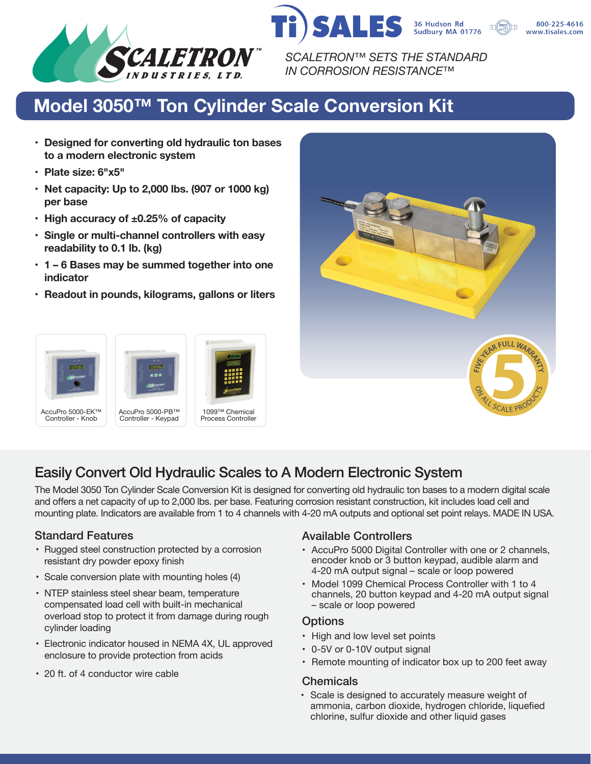

*SCALETRON™ SETS THE STANDARD IN CORROSION RESISTANCE™*

SALES

# **Model 3050™ Ton Cylinder Scale Conversion Kit**

- **• Designed for converting old hydraulic ton bases to a modern electronic system**
- **• Plate size: 6"x5"**
- **• Net capacity: Up to 2,000 lbs. (907 or 1000 kg) per base**
- **• High accuracy of ±0.25% of capacity**
- **• Single or multi-channel controllers with easy readability to 0.1 lb. (kg)**
- **• 1 6 Bases may be summed together into one indicator**
- **• Readout in pounds, kilograms, gallons or liters**





1099™ Chemical Process Controller



36 Hudson Rd<br>Sudbury MA 01776

800-225-4616 www.tisales.com

## Easily Convert Old Hydraulic Scales to A Modern Electronic System

The Model 3050 Ton Cylinder Scale Conversion Kit is designed for converting old hydraulic ton bases to a modern digital scale and offers a net capacity of up to 2,000 lbs. per base. Featuring corrosion resistant construction, kit includes load cell and mounting plate. Indicators are available from 1 to 4 channels with 4-20 mA outputs and optional set point relays. MADE IN USA.

- Rugged steel construction protected by a corrosion resistant dry powder epoxy finish
- Scale conversion plate with mounting holes (4)
- NTEP stainless steel shear beam, temperature compensated load cell with built-in mechanical overload stop to protect it from damage during rough cylinder loading
- Electronic indicator housed in NEMA 4X, UL approved enclosure to provide protection from acids
- 20 ft. of 4 conductor wire cable

## Standard Features **Available Controllers** Available Controllers

- AccuPro 5000 Digital Controller with one or 2 channels, encoder knob or 3 button keypad, audible alarm and 4-20 mA output signal – scale or loop powered
- Model 1099 Chemical Process Controller with 1 to 4 channels, 20 button keypad and 4-20 mA output signal – scale or loop powered

## **Options**

- High and low level set points
- 0-5V or 0-10V output signal
- Remote mounting of indicator box up to 200 feet away

## **Chemicals**

• Scale is designed to accurately measure weight of ammonia, carbon dioxide, hydrogen chloride, liquefied chlorine, sulfur dioxide and other liquid gases